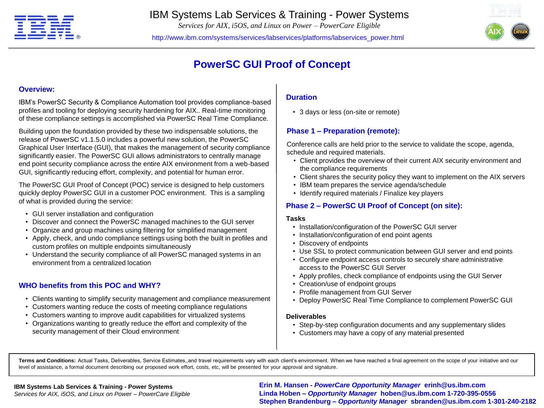

# IBM Systems Lab Services & Training - Power Systems

*Services for AIX, i5OS, and Linux on Power – PowerCare Eligible*

http://www.ibm.com/systems/services/labservices/platforms/labservices\_power.html



# **PowerSC GUI Proof of Concept**

#### **Overview:**

IBM's PowerSC Security & Compliance Automation tool provides compliance-based profiles and tooling for deploying security hardening for AIX.. Real-time monitoring of these compliance settings is accomplished via PowerSC Real Time Compliance.

Building upon the foundation provided by these two indispensable solutions, the release of PowerSC v1.1.5.0 includes a powerful new solution, the PowerSC Graphical User Interface (GUI), that makes the management of security compliance significantly easier. The PowerSC GUI allows administrators to centrally manage end point security compliance across the entire AIX environment from a web-based GUI, significantly reducing effort, complexity, and potential for human error.

The PowerSC GUI Proof of Concept (POC) service is designed to help customers quickly deploy PowerSC GUI in a customer POC environment. This is a sampling of what is provided during the service:

- GUI server installation and configuration
- Discover and connect the PowerSC managed machines to the GUI server
- Organize and group machines using filtering for simplified management
- Apply, check, and undo compliance settings using both the built in profiles and custom profiles on multiple endpoints simultaneously
- Understand the security compliance of all PowerSC managed systems in an environment from a centralized location

### **WHO benefits from this POC and WHY?**

- Clients wanting to simplify security management and compliance measurement
- Customers wanting reduce the costs of meeting compliance regulations
- Customers wanting to improve audit capabilities for virtualized systems
- Organizations wanting to greatly reduce the effort and complexity of the security management of their Cloud environment

## **Duration**

• 3 days or less (on-site or remote)

### **Phase 1 – Preparation (remote):**

Conference calls are held prior to the service to validate the scope, agenda, schedule and required materials.

- Client provides the overview of their current AIX security environment and the compliance requirements
- Client shares the security policy they want to implement on the AIX servers
- IBM team prepares the service agenda/schedule
- Identify required materials / Finalize key players

### **Phase 2 – PowerSC UI Proof of Concept (on site):**

#### **Tasks**

- Installation/configuration of the PowerSC GUI server
- Installation/configuration of end point agents
- Discovery of endpoints
- Use SSL to protect communication between GUI server and end points
- Configure endpoint access controls to securely share administrative access to the PowerSC GUI Server
- Apply profiles, check compliance of endpoints using the GUI Server
- Creation/use of endpoint groups
- Profile management from GUI Server
- Deploy PowerSC Real Time Compliance to complement PowerSC GUI

#### **Deliverables**

- Step-by-step configuration documents and any supplementary slides
- Customers may have a copy of any material presented

**Terms and Conditions:** Actual Tasks, Deliverables, Service Estimates,,and travel requirements vary with each client's environment. When we have reached a final agreement on the scope of your initiative and our level of assistance, a formal document describing our proposed work effort, costs, etc, will be presented for your approval and signature.

#### **IBM Systems Lab Services & Training - Power Systems**

*Services for AIX, i5OS, and Linux on Power – PowerCare Eligible*

rces for AIX, i5OS, and Linux on Power – PowerCare Eligible **interview of the Stephen Brandenburg –** *Opportunity Manager* **noben@us.ibm.com 1-720-395-0556 //www.com 1-301-240-2182<br>Stephen Brandenburg –** *Opportunity Manager* **Erin M. Hansen -** *PowerCare Opportunity Manager* **erinh@us.ibm.com Linda Hoben** *– Opportunity Manager* **hoben@us.ibm.com 1-720-395-0556**